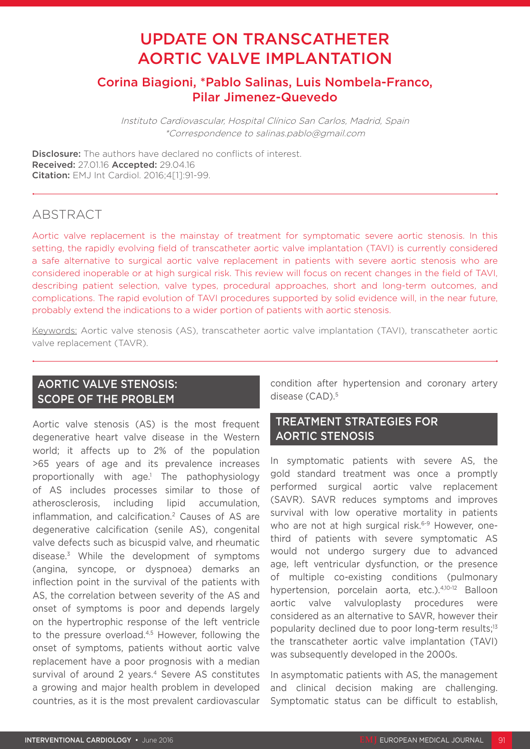# UPDATE ON TRANSCATHETER AORTIC VALVE IMPLANTATION

# Corina Biagioni, \*Pablo Salinas, Luis Nombela-Franco, Pilar Jimenez-Quevedo

Instituto Cardiovascular, Hospital Clínico San Carlos, Madrid, Spain \*Correspondence to salinas.pablo@gmail.com

**Disclosure:** The authors have declared no conflicts of interest. Received: 27.01.16 Accepted: 29.04.16 Citation: EMJ Int Cardiol. 2016;4[1]:91-99.

# **ABSTRACT**

Aortic valve replacement is the mainstay of treatment for symptomatic severe aortic stenosis. In this setting, the rapidly evolving field of transcatheter aortic valve implantation (TAVI) is currently considered a safe alternative to surgical aortic valve replacement in patients with severe aortic stenosis who are considered inoperable or at high surgical risk. This review will focus on recent changes in the field of TAVI, describing patient selection, valve types, procedural approaches, short and long-term outcomes, and complications. The rapid evolution of TAVI procedures supported by solid evidence will, in the near future, probably extend the indications to a wider portion of patients with aortic stenosis.

Keywords: Aortic valve stenosis (AS), transcatheter aortic valve implantation (TAVI), transcatheter aortic valve replacement (TAVR).

# AORTIC VALVE STENOSIS: SCOPE OF THE PROBLEM

Aortic valve stenosis (AS) is the most frequent degenerative heart valve disease in the Western world; it affects up to 2% of the population >65 years of age and its prevalence increases proportionally with age.1 The pathophysiology of AS includes processes similar to those of atherosclerosis, including lipid accumulation, inflammation, and calcification.<sup>2</sup> Causes of AS are degenerative calcification (senile AS), congenital valve defects such as bicuspid valve, and rheumatic disease.3 While the development of symptoms (angina, syncope, or dyspnoea) demarks an inflection point in the survival of the patients with AS, the correlation between severity of the AS and onset of symptoms is poor and depends largely on the hypertrophic response of the left ventricle to the pressure overload.<sup>4,5</sup> However, following the onset of symptoms, patients without aortic valve replacement have a poor prognosis with a median survival of around 2 years.<sup>4</sup> Severe AS constitutes a growing and major health problem in developed countries, as it is the most prevalent cardiovascular

condition after hypertension and coronary artery disease (CAD).<sup>5</sup>

## TREATMENT STRATEGIES FOR AORTIC STENOSIS

In symptomatic patients with severe AS, the gold standard treatment was once a promptly performed surgical aortic valve replacement (SAVR). SAVR reduces symptoms and improves survival with low operative mortality in patients who are not at high surgical risk.<sup>6-9</sup> However, onethird of patients with severe symptomatic AS would not undergo surgery due to advanced age, left ventricular dysfunction, or the presence of multiple co-existing conditions (pulmonary hypertension, porcelain aorta, etc.).4,10-12 Balloon aortic valve valvuloplasty procedures were considered as an alternative to SAVR, however their popularity declined due to poor long-term results;13 the transcatheter aortic valve implantation (TAVI) was subsequently developed in the 2000s.

In asymptomatic patients with AS, the management and clinical decision making are challenging. Symptomatic status can be difficult to establish,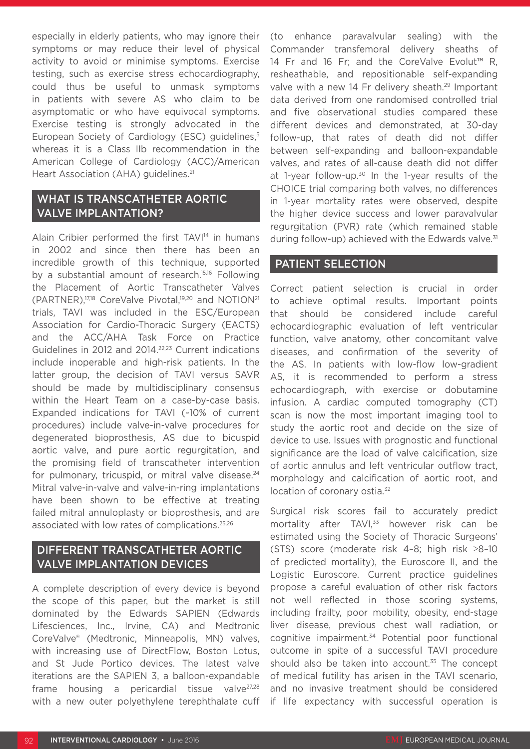especially in elderly patients, who may ignore their symptoms or may reduce their level of physical activity to avoid or minimise symptoms. Exercise testing, such as exercise stress echocardiography, could thus be useful to unmask symptoms in patients with severe AS who claim to be asymptomatic or who have equivocal symptoms. Exercise testing is strongly advocated in the European Society of Cardiology (ESC) guidelines,<sup>5</sup> whereas it is a Class IIb recommendation in the American College of Cardiology (ACC)/American Heart Association (AHA) guidelines.<sup>21</sup>

# WHAT IS TRANSCATHETER AORTIC VALVE IMPLANTATION?

Alain Cribier performed the first TAVI<sup>14</sup> in humans in 2002 and since then there has been an incredible growth of this technique, supported by a substantial amount of research.15,16 Following the Placement of Aortic Transcatheter Valves (PARTNER),17,18 CoreValve Pivotal,19,20 and NOTION21 trials, TAVI was included in the ESC/European Association for Cardio-Thoracic Surgery (EACTS) and the ACC/AHA Task Force on Practice Guidelines in 2012 and 2014.22,23 Current indications include inoperable and high-risk patients. In the latter group, the decision of TAVI versus SAVR should be made by multidisciplinary consensus within the Heart Team on a case-by-case basis. Expanded indications for TAVI (~10% of current procedures) include valve-in-valve procedures for degenerated bioprosthesis, AS due to bicuspid aortic valve, and pure aortic regurgitation, and the promising field of transcatheter intervention for pulmonary, tricuspid, or mitral valve disease.<sup>24</sup> Mitral valve-in-valve and valve-in-ring implantations have been shown to be effective at treating failed mitral annuloplasty or bioprosthesis, and are associated with low rates of complications.25,26

### DIFFERENT TRANSCATHETER AORTIC VALVE IMPLANTATION DEVICES

A complete description of every device is beyond the scope of this paper, but the market is still dominated by the Edwards SAPIEN (Edwards Lifesciences, Inc., Irvine, CA) and Medtronic CoreValve® (Medtronic, Minneapolis, MN) valves, with increasing use of DirectFlow, Boston Lotus, and St Jude Portico devices. The latest valve iterations are the SAPIEN 3, a balloon-expandable frame housing a pericardial tissue valve<sup>27,28</sup> with a new outer polyethylene terephthalate cuff

(to enhance paravalvular sealing) with the Commander transfemoral delivery sheaths of 14 Fr and 16 Fr; and the CoreValve Evolut™ R, resheathable, and repositionable self-expanding valve with a new 14 Fr delivery sheath.<sup>29</sup> Important data derived from one randomised controlled trial and five observational studies compared these different devices and demonstrated, at 30-day follow-up, that rates of death did not differ between self-expanding and balloon-expandable valves, and rates of all-cause death did not differ at 1-year follow-up.<sup>30</sup> In the 1-year results of the CHOICE trial comparing both valves, no differences in 1-year mortality rates were observed, despite the higher device success and lower paravalvular regurgitation (PVR) rate (which remained stable during follow-up) achieved with the Edwards valve.<sup>31</sup>

### PATIENT SELECTION

Correct patient selection is crucial in order to achieve optimal results. Important points that should be considered include careful echocardiographic evaluation of left ventricular function, valve anatomy, other concomitant valve diseases, and confirmation of the severity of the AS. In patients with low-flow low-gradient AS, it is recommended to perform a stress echocardiograph, with exercise or dobutamine infusion. A cardiac computed tomography (CT) scan is now the most important imaging tool to study the aortic root and decide on the size of device to use. Issues with prognostic and functional significance are the load of valve calcification, size of aortic annulus and left ventricular outflow tract, morphology and calcification of aortic root, and location of coronary ostia.<sup>32</sup>

Surgical risk scores fail to accurately predict mortality after TAVI,<sup>33</sup> however risk can be estimated using the Society of Thoracic Surgeons' (STS) score (moderate risk 4–8; high risk ≥8–10 of predicted mortality), the Euroscore II, and the Logistic Euroscore. Current practice guidelines propose a careful evaluation of other risk factors not well reflected in those scoring systems, including frailty, poor mobility, obesity, end-stage liver disease, previous chest wall radiation, or cognitive impairment.<sup>34</sup> Potential poor functional outcome in spite of a successful TAVI procedure should also be taken into account. $35$  The concept of medical futility has arisen in the TAVI scenario, and no invasive treatment should be considered if life expectancy with successful operation is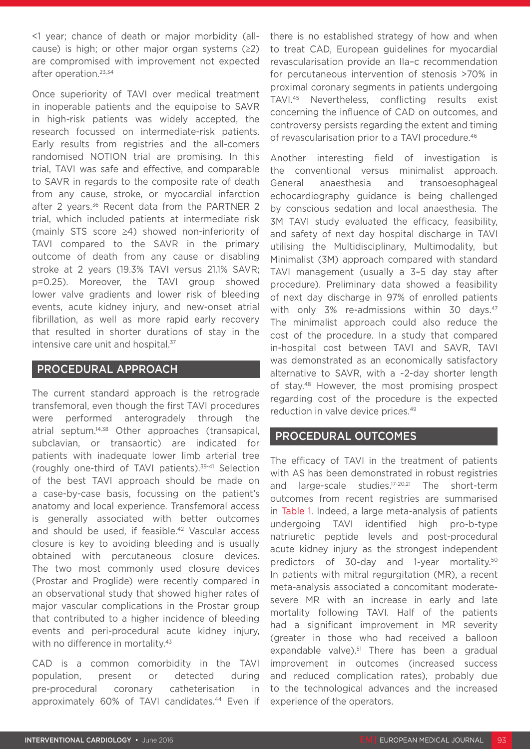<1 year; chance of death or major morbidity (allcause) is high; or other major organ systems  $(≥2)$ are compromised with improvement not expected after operation.23,34

Once superiority of TAVI over medical treatment in inoperable patients and the equipoise to SAVR in high-risk patients was widely accepted, the research focussed on intermediate-risk patients. Early results from registries and the all-comers randomised NOTION trial are promising. In this trial, TAVI was safe and effective, and comparable to SAVR in regards to the composite rate of death from any cause, stroke, or myocardial infarction after 2 years.<sup>36</sup> Recent data from the PARTNER 2 trial, which included patients at intermediate risk (mainly STS score ≥4) showed non-inferiority of TAVI compared to the SAVR in the primary outcome of death from any cause or disabling stroke at 2 years (19.3% TAVI versus 21.1% SAVR; p=0.25). Moreover, the TAVI group showed lower valve gradients and lower risk of bleeding events, acute kidney injury, and new-onset atrial fibrillation, as well as more rapid early recovery that resulted in shorter durations of stay in the intensive care unit and hospital.<sup>37</sup>

### PROCEDURAL APPROACH

The current standard approach is the retrograde transfemoral, even though the first TAVI procedures were performed anterogradely through the atrial septum.14,38 Other approaches (transapical, subclavian, or transaortic) are indicated for patients with inadequate lower limb arterial tree (roughly one-third of TAVI patients).39-41 Selection of the best TAVI approach should be made on a case-by-case basis, focussing on the patient's anatomy and local experience. Transfemoral access is generally associated with better outcomes and should be used, if feasible.<sup>42</sup> Vascular access closure is key to avoiding bleeding and is usually obtained with percutaneous closure devices. The two most commonly used closure devices (Prostar and Proglide) were recently compared in an observational study that showed higher rates of major vascular complications in the Prostar group that contributed to a higher incidence of bleeding events and peri-procedural acute kidney injury, with no difference in mortality.<sup>43</sup>

CAD is a common comorbidity in the TAVI population, present or detected during pre-procedural coronary catheterisation in approximately 60% of TAVI candidates.44 Even if

there is no established strategy of how and when to treat CAD, European guidelines for myocardial revascularisation provide an IIa–c recommendation for percutaneous intervention of stenosis >70% in proximal coronary segments in patients undergoing TAVI.45 Nevertheless, conflicting results exist concerning the influence of CAD on outcomes, and controversy persists regarding the extent and timing of revascularisation prior to a TAVI procedure.<sup>46</sup>

Another interesting field of investigation is the conventional versus minimalist approach. General anaesthesia and transoesophageal echocardiography guidance is being challenged by conscious sedation and local anaesthesia. The 3M TAVI study evaluated the efficacy, feasibility, and safety of next day hospital discharge in TAVI utilising the Multidisciplinary, Multimodality, but Minimalist (3M) approach compared with standard TAVI management (usually a 3–5 day stay after procedure). Preliminary data showed a feasibility of next day discharge in 97% of enrolled patients with only 3% re-admissions within 30 days.<sup>47</sup> The minimalist approach could also reduce the cost of the procedure. In a study that compared in-hospital cost between TAVI and SAVR, TAVI was demonstrated as an economically satisfactory alternative to SAVR, with a ~2-day shorter length of stay.48 However, the most promising prospect regarding cost of the procedure is the expected reduction in valve device prices.49

### PROCEDURAL OUTCOMES

The efficacy of TAVI in the treatment of patients with AS has been demonstrated in robust registries and large-scale studies.17-20,21 The short-term outcomes from recent registries are summarised in Table 1. Indeed, a large meta-analysis of patients undergoing TAVI identified high pro-b-type natriuretic peptide levels and post-procedural acute kidney injury as the strongest independent predictors of 30-day and 1-year mortality.<sup>50</sup> In patients with mitral regurgitation (MR), a recent meta-analysis associated a concomitant moderatesevere MR with an increase in early and late mortality following TAVI. Half of the patients had a significant improvement in MR severity (greater in those who had received a balloon expandable valve).<sup>51</sup> There has been a gradual improvement in outcomes (increased success and reduced complication rates), probably due to the technological advances and the increased experience of the operators.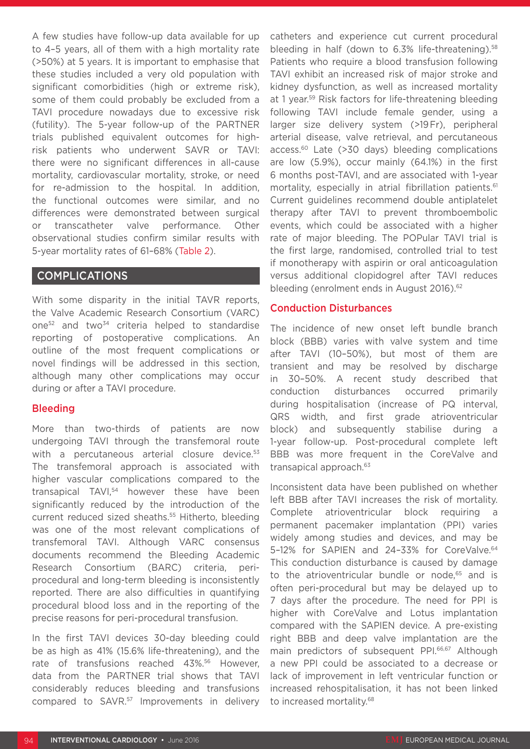A few studies have follow-up data available for up to 4–5 years, all of them with a high mortality rate (>50%) at 5 years. It is important to emphasise that these studies included a very old population with significant comorbidities (high or extreme risk), some of them could probably be excluded from a TAVI procedure nowadays due to excessive risk (futility). The 5-year follow-up of the PARTNER trials published equivalent outcomes for highrisk patients who underwent SAVR or TAVI: there were no significant differences in all-cause mortality, cardiovascular mortality, stroke, or need for re-admission to the hospital. In addition, the functional outcomes were similar, and no differences were demonstrated between surgical or transcatheter valve performance. Other observational studies confirm similar results with 5-year mortality rates of 61–68% (Table 2).

#### COMPLICATIONS

With some disparity in the initial TAVR reports, the Valve Academic Research Consortium (VARC) one<sup>52</sup> and two<sup>34</sup> criteria helped to standardise reporting of postoperative complications. An outline of the most frequent complications or novel findings will be addressed in this section, although many other complications may occur during or after a TAVI procedure.

#### Bleeding

More than two-thirds of patients are now undergoing TAVI through the transfemoral route with a percutaneous arterial closure device.<sup>53</sup> The transfemoral approach is associated with higher vascular complications compared to the transapical TAVI,54 however these have been significantly reduced by the introduction of the current reduced sized sheaths.<sup>55</sup> Hitherto, bleeding was one of the most relevant complications of transfemoral TAVI. Although VARC consensus documents recommend the Bleeding Academic Research Consortium (BARC) criteria, periprocedural and long-term bleeding is inconsistently reported. There are also difficulties in quantifying procedural blood loss and in the reporting of the precise reasons for peri-procedural transfusion.

In the first TAVI devices 30-day bleeding could be as high as 41% (15.6% life-threatening), and the rate of transfusions reached 43%.56 However, data from the PARTNER trial shows that TAVI considerably reduces bleeding and transfusions compared to SAVR.<sup>57</sup> Improvements in delivery catheters and experience cut current procedural bleeding in half (down to  $6.3\%$  life-threatening).<sup>58</sup> Patients who require a blood transfusion following TAVI exhibit an increased risk of major stroke and kidney dysfunction, as well as increased mortality at 1 year.59 Risk factors for life-threatening bleeding following TAVI include female gender, using a larger size delivery system (>19 Fr), peripheral arterial disease, valve retrieval, and percutaneous access.<sup>60</sup> Late (>30 days) bleeding complications are low (5.9%), occur mainly (64.1%) in the first 6 months post-TAVI, and are associated with 1-year mortality, especially in atrial fibrillation patients.<sup>61</sup> Current guidelines recommend double antiplatelet therapy after TAVI to prevent thromboembolic events, which could be associated with a higher rate of major bleeding. The POPular TAVI trial is the first large, randomised, controlled trial to test if monotherapy with aspirin or oral anticoagulation versus additional clopidogrel after TAVI reduces bleeding (enrolment ends in August 2016).<sup>62</sup>

#### Conduction Disturbances

The incidence of new onset left bundle branch block (BBB) varies with valve system and time after TAVI (10–50%), but most of them are transient and may be resolved by discharge in 30–50%. A recent study described that conduction disturbances occurred primarily during hospitalisation (increase of PQ interval, QRS width, and first grade atrioventricular block) and subsequently stabilise during a 1-year follow-up. Post-procedural complete left BBB was more frequent in the CoreValve and transapical approach.<sup>63</sup>

Inconsistent data have been published on whether left BBB after TAVI increases the risk of mortality. Complete atrioventricular block requiring a permanent pacemaker implantation (PPI) varies widely among studies and devices, and may be 5-12% for SAPIEN and 24-33% for CoreValve.<sup>64</sup> This conduction disturbance is caused by damage to the atrioventricular bundle or node,<sup>65</sup> and is often peri-procedural but may be delayed up to 7 days after the procedure. The need for PPI is higher with CoreValve and Lotus implantation compared with the SAPIEN device. A pre-existing right BBB and deep valve implantation are the main predictors of subsequent PPI.<sup>66,67</sup> Although a new PPI could be associated to a decrease or lack of improvement in left ventricular function or increased rehospitalisation, it has not been linked to increased mortality.68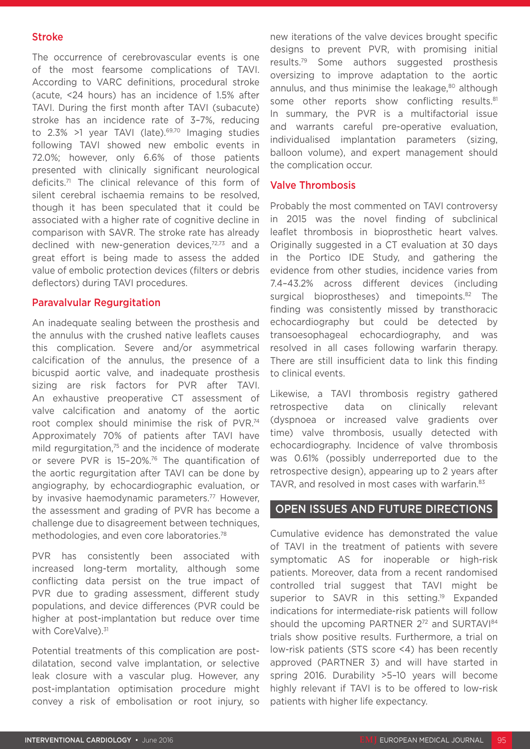#### Stroke

The occurrence of cerebrovascular events is one of the most fearsome complications of TAVI. According to VARC definitions, procedural stroke (acute, <24 hours) has an incidence of 1.5% after TAVI. During the first month after TAVI (subacute) stroke has an incidence rate of 3–7%, reducing to  $2.3\%$  >1 year TAVI (late).<sup>69,70</sup> Imaging studies following TAVI showed new embolic events in 72.0%; however, only 6.6% of those patients presented with clinically significant neurological deficits.71 The clinical relevance of this form of silent cerebral ischaemia remains to be resolved, though it has been speculated that it could be associated with a higher rate of cognitive decline in comparison with SAVR. The stroke rate has already declined with new-generation devices,<sup>72,73</sup> and a great effort is being made to assess the added value of embolic protection devices (filters or debris deflectors) during TAVI procedures.

#### Paravalvular Regurgitation

An inadequate sealing between the prosthesis and the annulus with the crushed native leaflets causes this complication. Severe and/or asymmetrical calcification of the annulus, the presence of a bicuspid aortic valve, and inadequate prosthesis sizing are risk factors for PVR after TAVI. An exhaustive preoperative CT assessment of valve calcification and anatomy of the aortic root complex should minimise the risk of PVR.74 Approximately 70% of patients after TAVI have mild regurgitation,<sup>75</sup> and the incidence of moderate or severe PVR is 15-20%.<sup>76</sup> The quantification of the aortic regurgitation after TAVI can be done by angiography, by echocardiographic evaluation, or by invasive haemodynamic parameters.<sup>77</sup> However, the assessment and grading of PVR has become a challenge due to disagreement between techniques, methodologies, and even core laboratories.78

PVR has consistently been associated with increased long-term mortality, although some conflicting data persist on the true impact of PVR due to grading assessment, different study populations, and device differences (PVR could be higher at post-implantation but reduce over time with CoreValve).<sup>31</sup>

Potential treatments of this complication are postdilatation, second valve implantation, or selective leak closure with a vascular plug. However, any post-implantation optimisation procedure might convey a risk of embolisation or root injury, so

new iterations of the valve devices brought specific designs to prevent PVR, with promising initial results.79 Some authors suggested prosthesis oversizing to improve adaptation to the aortic annulus, and thus minimise the leakage,<sup>80</sup> although some other reports show conflicting results.<sup>81</sup> In summary, the PVR is a multifactorial issue and warrants careful pre-operative evaluation, individualised implantation parameters (sizing, balloon volume), and expert management should the complication occur.

#### Valve Thrombosis

Probably the most commented on TAVI controversy in 2015 was the novel finding of subclinical leaflet thrombosis in bioprosthetic heart valves. Originally suggested in a CT evaluation at 30 days in the Portico IDE Study, and gathering the evidence from other studies, incidence varies from 7.4–43.2% across different devices (including surgical bioprostheses) and timepoints.<sup>82</sup> The finding was consistently missed by transthoracic echocardiography but could be detected by transoesophageal echocardiography, and was resolved in all cases following warfarin therapy. There are still insufficient data to link this finding to clinical events.

Likewise, a TAVI thrombosis registry gathered retrospective data on clinically relevant (dyspnoea or increased valve gradients over time) valve thrombosis, usually detected with echocardiography. Incidence of valve thrombosis was 0.61% (possibly underreported due to the retrospective design), appearing up to 2 years after TAVR, and resolved in most cases with warfarin.<sup>83</sup>

### OPEN ISSUES AND FUTURE DIRECTIONS

Cumulative evidence has demonstrated the value of TAVI in the treatment of patients with severe symptomatic AS for inoperable or high-risk patients. Moreover, data from a recent randomised controlled trial suggest that TAVI might be superior to SAVR in this setting.<sup>19</sup> Expanded indications for intermediate-risk patients will follow should the upcoming PARTNER 272 and SURTAVI<sup>84</sup> trials show positive results. Furthermore, a trial on low-risk patients (STS score <4) has been recently approved (PARTNER 3) and will have started in spring 2016. Durability >5–10 years will become highly relevant if TAVI is to be offered to low-risk patients with higher life expectancy.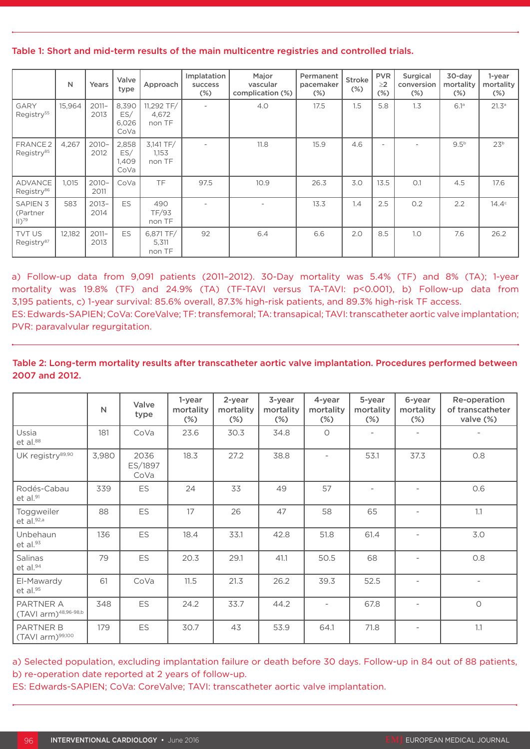#### Table 1: Short and mid-term results of the main multicentre registries and controlled trials.

|                                               | N      | Years            | Valve<br>type                 | Approach                      | Implatation<br>success<br>$(\%)$ | Major<br>Permanent<br>vascular<br>pacemaker<br>complication (%)<br>$(\%)$ |      | <b>Stroke</b><br>$(\%)$ | <b>PVR</b><br>$\geq$ 2<br>$(\%)$ | Surgical<br>conversion<br>$(\%)$ | 30-day<br>mortality<br>$(\%)$ | 1-year<br>mortality<br>$(\%)$ |
|-----------------------------------------------|--------|------------------|-------------------------------|-------------------------------|----------------------------------|---------------------------------------------------------------------------|------|-------------------------|----------------------------------|----------------------------------|-------------------------------|-------------------------------|
| GARY<br>Registry <sup>55</sup>                | 15,964 | $2011 -$<br>2013 | 8,390<br>ES/<br>6,026<br>CoVa | 11,292 TF/<br>4,672<br>non TF | $\overline{\phantom{a}}$         | 4.0                                                                       | 17.5 | 1.5                     | 5.8                              | 1.3                              | 6.1a                          | 21.3a                         |
| FRANCE <sub>2</sub><br>Registry <sup>85</sup> | 4,267  | $2010 -$<br>2012 | 2,858<br>ES/<br>1,409<br>CoVa | 3,141 TF/<br>1,153<br>non TF  | $\overline{\phantom{a}}$         | 11.8                                                                      | 15.9 | 4.6                     | $\overline{\phantom{0}}$         |                                  | 9.5 <sup>b</sup>              | 23 <sup>b</sup>               |
| <b>ADVANCE</b><br>Registry <sup>86</sup>      | 1,015  | $2010 -$<br>2011 | CoVa                          | <b>TF</b>                     | 97.5                             | 10.9                                                                      | 26.3 | 3.0                     | 13.5                             | O.1                              | 4.5                           | 17.6                          |
| <b>SAPIEN 3</b><br>(Partner<br>$ 11 ^{79}$    | 583    | $2013 -$<br>2014 | <b>ES</b>                     | 490<br>TF/93<br>non TF        |                                  |                                                                           | 13.3 | 1.4                     | 2.5                              | 0.2                              | 2.2                           | 14.4 <sup>c</sup>             |
| <b>TVT US</b><br>Registry <sup>87</sup>       | 12,182 | $2011 -$<br>2013 | ES                            | 6,871 TF/<br>5,311<br>non TF  | 92                               | 6.4                                                                       | 6.6  | 2.0                     | 8.5                              | 1.0                              | 7.6                           | 26.2                          |

a) Follow-up data from 9,091 patients (2011–2012). 30-Day mortality was 5.4% (TF) and 8% (TA); 1-year mortality was 19.8% (TF) and 24.9% (TA) (TF-TAVI versus TA-TAVI: p<0.001), b) Follow-up data from 3,195 patients, c) 1-year survival: 85.6% overall, 87.3% high-risk patients, and 89.3% high-risk TF access. ES: Edwards-SAPIEN; CoVa: CoreValve; TF: transfemoral; TA: transapical; TAVI: transcatheter aortic valve implantation; PVR: paravalvular regurgitation.

#### Table 2: Long-term mortality results after transcatheter aortic valve implantation. Procedures performed between 2007 and 2012.

|                                               | $\mathsf{N}$ | Valve<br>type           | 1-year<br>mortality<br>$(\%)$ | 2-year<br>mortality<br>$(\%)$ | 3-year<br>mortality<br>$(\%)$ | 4-year<br>mortality<br>$(\%)$ | 5-year<br>mortality<br>$(\%)$ | 6-year<br>mortality<br>$(\%)$ | Re-operation<br>of transcatheter<br>valve (%) |
|-----------------------------------------------|--------------|-------------------------|-------------------------------|-------------------------------|-------------------------------|-------------------------------|-------------------------------|-------------------------------|-----------------------------------------------|
| Ussia<br>et al.88                             | 181          | CoVa                    | 23.6                          | 30.3                          | 34.8                          | $\circ$                       | $\overline{\phantom{a}}$      |                               |                                               |
| UK registry89,90                              | 3,980        | 2036<br>ES/1897<br>CoVa | 18.3                          | 27.2                          | 38.8                          |                               | 53.1                          | 37.3                          | 0.8                                           |
| Rodés-Cabau<br>et al.91                       | 339          | ES                      | 24                            | 33                            | 49                            | 57                            | $\overline{\phantom{a}}$      |                               | 0.6                                           |
| Toggweiler<br>et al.92,a                      | 88           | ES                      | 17                            | 26                            | 47                            | 58                            | 65                            |                               | 1.1                                           |
| Unbehaun<br>$et$ al. $93$                     | 136          | ES                      | 18.4                          | 33.1                          | 42.8                          | 51.8                          | 61.4                          | $\overline{\phantom{0}}$      | 3.0                                           |
| Salinas<br>$et$ al. $94$                      | 79           | ES                      | 20.3                          | 29.1                          | 41.1                          | 50.5                          | 68                            |                               | 0.8                                           |
| El-Mawardy<br>et al.95                        | 61           | CoVa                    | 11.5                          | 21.3                          | 26.2                          | 39.3                          | 52.5                          |                               |                                               |
| PARTNER A<br>(TAVI arm) <sup>48,96-98,b</sup> | 348          | ES                      | 24.2                          | 33.7                          | 44.2                          | $\overline{\phantom{a}}$      | 67.8                          |                               | $\circ$                                       |
| <b>PARTNER B</b><br>(TAVI arm)99,100          | 179          | ES                      | 30.7                          | 43                            | 53.9                          | 64.1                          | 71.8                          |                               | 1.1                                           |

a) Selected population, excluding implantation failure or death before 30 days. Follow-up in 84 out of 88 patients, b) re-operation date reported at 2 years of follow-up.

ES: Edwards-SAPIEN; CoVa: CoreValve; TAVI: transcatheter aortic valve implantation.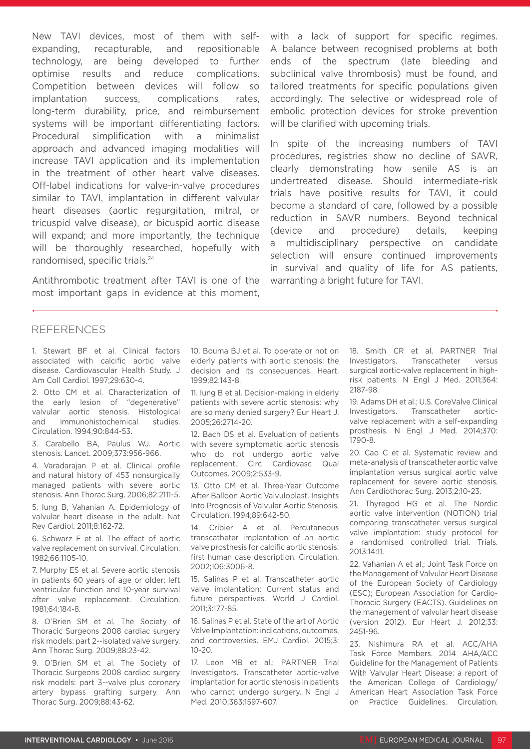New TAVI devices, most of them with selfexpanding, recapturable, and repositionable technology, are being developed to further optimise results and reduce complications. Competition between devices will follow so implantation success, complications rates, long-term durability, price, and reimbursement systems will be important differentiating factors. Procedural simplification with a minimalist approach and advanced imaging modalities will increase TAVI application and its implementation in the treatment of other heart valve diseases. Off-label indications for valve-in-valve procedures similar to TAVI, implantation in different valvular heart diseases (aortic regurgitation, mitral, or tricuspid valve disease), or bicuspid aortic disease will expand; and more importantly, the technique will be thoroughly researched, hopefully with randomised, specific trials.24

Antithrombotic treatment after TAVI is one of the most important gaps in evidence at this moment, with a lack of support for specific regimes. A balance between recognised problems at both ends of the spectrum (late bleeding and subclinical valve thrombosis) must be found, and tailored treatments for specific populations given accordingly. The selective or widespread role of embolic protection devices for stroke prevention will be clarified with upcoming trials.

In spite of the increasing numbers of TAVI procedures, registries show no decline of SAVR, clearly demonstrating how senile AS is an undertreated disease. Should intermediate-risk trials have positive results for TAVI, it could become a standard of care, followed by a possible reduction in SAVR numbers. Beyond technical (device and procedure) details, keeping a multidisciplinary perspective on candidate selection will ensure continued improvements in survival and quality of life for AS patients, warranting a bright future for TAVI.

#### REFERENCES

1. Stewart BF et al. Clinical factors associated with calcific aortic valve disease. Cardiovascular Health Study. J Am Coll Cardiol. 1997;29:630-4.

2. Otto CM et al. Characterization of the early lesion of "degenerative" valvular aortic stenosis. Histological and immunohistochemical studies. Circulation. 1994;90:844-53.

3. Carabello BA, Paulus WJ. Aortic stenosis. Lancet. 2009;373:956-966.

4. Varadarajan P et al. Clinical profile and natural history of 453 nonsurgically managed patients with severe aortic stenosis. Ann Thorac Surg. 2006;82:2111-5.

5. Iung B, Vahanian A. Epidemiology of valvular heart disease in the adult. Nat Rev Cardiol. 2011;8:162-72.

6. Schwarz F et al. The effect of aortic valve replacement on survival. Circulation. 1982;66:1105-10.

7. Murphy ES et al. Severe aortic stenosis in patients 60 years of age or older: left ventricular function and 10-year survival after valve replacement. Circulation. 1981;64:184-8.

8. O'Brien SM et al. The Society of Thoracic Surgeons 2008 cardiac surgery risk models: part 2--isolated valve surgery. Ann Thorac Surg. 2009;88:23-42.

9. O'Brien SM et al. The Society of Thoracic Surgeons 2008 cardiac surgery risk models: part 3--valve plus coronary artery bypass grafting surgery. Ann Thorac Surg. 2009;88:43-62.

10. Bouma BJ et al. To operate or not on elderly patients with aortic stenosis: the decision and its consequences. Heart. 1999;82:143-8.

11. Iung B et al. Decision-making in elderly patients with severe aortic stenosis: why are so many denied surgery? Eur Heart J. 2005;26:2714-20.

12. Bach DS et al. Evaluation of patients with severe symptomatic aortic stenosis who do not undergo aortic valve replacement. Circ Cardiovasc Qual Outcomes. 2009;2:533-9.

13. Otto CM et al. Three-Year Outcome After Balloon Aortic Valvuloplast. Insights Into Prognosis of Valvular Aortic Stenosis. Circulation. 1994;89:642-50.

14. Cribier A et al. Percutaneous transcatheter implantation of an aortic valve prosthesis for calcific aortic stenosis: first human case description. Circulation. 2002;106:3006-8.

15. Salinas P et al. Transcatheter aortic valve implantation: Current status and future perspectives. World J Cardiol. 2011;3:177-85.

16. Salinas P et al. State of the art of Aortic Valve Implantation: indications, outcomes, and controversies. EMJ Cardiol. 2015;3:  $10-20.$ 

17. Leon MB et al.; PARTNER Trial Investigators. Transcatheter aortic-valve implantation for aortic stenosis in patients who cannot undergo surgery. N Engl J Med. 2010;363:1597-607.

18. Smith CR et al. PARTNER Trial Investigators. Transcatheter versus surgical aortic-valve replacement in highrisk patients. N Engl J Med. 2011;364: 2187-98.

19. Adams DH et al.; U.S. CoreValve Clinical Investigators. Transcatheter aorticvalve replacement with a self-expanding prosthesis. N Engl J Med. 2014;370: 1790-8.

20. Cao C et al. Systematic review and meta-analysis of transcatheter aortic valve implantation versus surgical aortic valve replacement for severe aortic stenosis. Ann Cardiothorac Surg. 2013;2:10-23.

21. Thyregod HG et al. The Nordic aortic valve intervention (NOTION) trial comparing transcatheter versus surgical valve implantation: study protocol for a randomised controlled trial. Trials. 2013;14:11.

22. Vahanian A et al.; Joint Task Force on the Management of Valvular Heart Disease of the European Society of Cardiology (ESC); European Association for Cardio-Thoracic Surgery (EACTS). Guidelines on the management of valvular heart disease (version 2012). Eur Heart J. 2012;33: 2451-96.

23. Nishimura RA et al. ACC/AHA Task Force Members. 2014 AHA/ACC Guideline for the Management of Patients With Valvular Heart Disease: a report of the American College of Cardiology/ American Heart Association Task Force on Practice Guidelines. Circulation.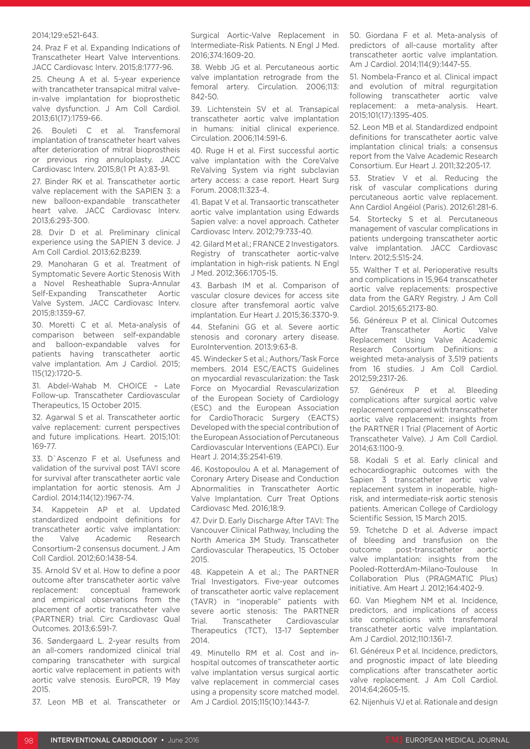#### 2014;129:e521-643.

24. Praz F et al. Expanding Indications of Transcatheter Heart Valve Interventions. JACC Cardiovasc Interv. 2015;8:1777-96.

25. Cheung A et al. 5-year experience with trancatheter transapical mitral valvein-valve implantation for bioprosthetic valve dysfunction. J Am Coll Cardiol. 2013;61(17):1759-66.

26. Bouleti C et al. Transfemoral implantation of transcatheter heart valves after deterioration of mitral bioprostheis or previous ring annuloplasty. JACC Cardiovasc Interv. 2015;8(1 Pt A):83-91.

27. Binder RK et al. Transcatheter aortic valve replacement with the SAPIEN 3: a new balloon-expandable transcatheter heart valve. JACC Cardiovasc Interv. 2013;6:293-300.

28. Dvir D et al. Preliminary clinical experience using the SAPIEN 3 device. J Am Coll Cardiol. 2013;62:B239.

29. Manoharan G et al. Treatment of Symptomatic Severe Aortic Stenosis With a Novel Resheathable Supra-Annular Self-Expanding Transcatheter Aortic Valve System. JACC Cardiovasc Interv. 2015;8:1359-67.

30. Moretti C et al. Meta-analysis of comparison between self-expandable and balloon-expandable valves for patients having transcatheter aortic valve implantation. Am J Cardiol. 2015; 115(12):1720-5.

31. Abdel-Wahab M. CHOICE – Late Follow-up. Transcatheter Cardiovascular Therapeutics, 15 October 2015.

32. Agarwal S et al. Transcatheter aortic valve replacement: current perspectives and future implications. Heart. 2015;101: 169-77.

33. D`Ascenzo F et al. Usefuness and validation of the survival post TAVI score for survival after transcatheter aortic vale implantation for aortic stenosis. Am J Cardiol. 2014;114(12):1967-74.

34. Kappetein AP et al. Updated standardized endpoint definitions for transcatheter aortic valve implantation: the Valve Academic Research Consortium-2 consensus document. J Am Coll Cardiol. 2012;60:1438-54.

35. Arnold SV et al. How to define a poor outcome after transcatheter aortic valve replacement: conceptual framework and empirical observations from the placement of aortic transcatheter valve (PARTNER) trial. Circ Cardiovasc Qual Outcomes. 2013;6:591-7.

36. Søndergaard L. 2-year results from an all-comers randomized clinical trial comparing transcatheter with surgical aortic valve replacement in patients with aortic valve stenosis. EuroPCR, 19 May 2015.

37. Leon MB et al. Transcatheter or

Surgical Aortic-Valve Replacement in Intermediate-Risk Patients. N Engl J Med. 2016;374:1609-20.

38. Webb JG et al. Percutaneous aortic valve implantation retrograde from the femoral artery. Circulation. 2006;113: 842-50.

39. Lichtenstein SV et al. Transapical transcatheter aortic valve implantation in humans: initial clinical experience. Circulation. 2006;114:591-6.

40. Ruge H et al. First successful aortic valve implantation with the CoreValve ReValving System via right subclavian artery access: a case report. Heart Surg Forum. 2008;11:323-4.

41. Bapat V et al. Transaortic transcatheter aortic valve implantation using Edwards Sapien valve: a novel approach. Catheter Cardiovasc Interv. 2012;79:733-40.

42. Gilard M et al.; FRANCE 2 Investigators. Registry of transcatheter aortic-valve implantation in high-risk patients. N Engl J Med. 2012;366:1705-15.

43. Barbash IM et al. Comparison of vascular closure devices for access site closure after transfemoral aortic valve implantation. Eur Heart J. 2015;36:3370-9.

44. Stefanini GG et al. Severe aortic stenosis and coronary artery disease. EuroIntervention. 2013;9:63-8.

45. Windecker S et al.; Authors/Task Force members. 2014 ESC/EACTS Guidelines on myocardial revascularization: the Task Force on Myocardial Revascularization of the European Society of Cardiology (ESC) and the European Association for CardioThoracic Surgery (EACTS) Developed with the special contribution of the European Association of Percutaneous Cardiovascular Interventions (EAPCI). Eur Heart J. 2014;35:2541-619.

46. Kostopoulou A et al. Management of Coronary Artery Disease and Conduction Abnormalities in Transcatheter Aortic Valve Implantation. Curr Treat Options Cardiovasc Med. 2016;18:9.

47. Dvir D. Early Discharge After TAVI: The Vancouver Clinical Pathway, Including the North America 3M Study. Transcatheter Cardiovascular Therapeutics, 15 October 2015.

48. Kappetein A et al.; The PARTNER Trial Investigators. Five-year outcomes of transcatheter aortic valve replacement (TAVR) in "inoperable" patients with severe aortic stenosis: The PARTNER Trial. Transcatheter Cardiovascular Therapeutics (TCT), 13-17 September 2014.

49. Minutello RM et al. Cost and inhospital outcomes of transcatheter aortic valve implantation versus surgical aortic valve replacement in commercial cases using a propensity score matched model. Am J Cardiol. 2015;115(10):1443-7.

50. Giordana F et al. Meta-analysis of predictors of all-cause mortality after transcatheter aortic valve implantation. Am J Cardiol. 2014;114(9):1447-55.

51. Nombela-Franco et al. Clinical impact and evolution of mitral regurgitation following transcatheter aortic valve replacement: a meta-analysis. Heart. 2015;101(17):1395-405.

52. Leon MB et al. Standardized endpoint definitions for transcatheter aortic valve implantation clinical trials: a consensus report from the Valve Academic Research Consortium. Eur Heart J. 2011;32:205-17.

53. Stratiev V et al. Reducing the risk of vascular complications during percutaneous aortic valve replacement. Ann Cardiol Angéiol (Paris). 2012;61:281-6.

54. Stortecky S et al. Percutaneous management of vascular complications in patients undergoing transcatheter aortic valve implantation. JACC Cardiovasc Interv. 2012;5:515-24.

55. Walther T et al. Perioperative results and complications in 15,964 transcatheter aortic valve replacements: prospective data from the GARY Registry. J Am Coll Cardiol. 2015;65:2173-80.

56. Généreux P et al. Clinical Outcomes After Transcatheter Aortic Valve Replacement Using Valve Academic Research Consortium Definitions: a weighted meta-analysis of 3,519 patients from 16 studies. J Am Coll Cardiol. 2012;59;2317-26.

57. Généreux P et al. Bleeding complications after surgical aortic valve replacement compared with transcatheter aortic valve replacement: insights from the PARTNER I Trial (Placement of Aortic Transcatheter Valve). J Am Coll Cardiol. 2014;63:1100-9.

58. Kodali S et al. Early clinical and echocardiographic outcomes with the Sapien 3 transcatheter aortic valve replacement system in inoperable, highrisk, and intermediate-risk aortic stenosis patients. American College of Cardiology Scientific Session, 15 March 2015.

59. Tchetche D et al. Adverse impact of bleeding and transfusion on the outcome post-transcatheter aortic valve implantation: insights from the Pooled-RotterdAm-Milano-Toulouse In Collaboration Plus (PRAGMATIC Plus) initiative. Am Heart J. 2012;164:402-9.

60. Van Mieghem NM et al. Incidence, predictors, and implications of access site complications with transfemoral transcatheter aortic valve implantation. Am J Cardiol. 2012;110:1361-7.

61. Généreux P et al. Incidence, predictors, and prognostic impact of late bleeding complications after transcatheter aortic valve replacement. J Am Coll Cardiol. 2014;64;2605-15.

62. Nijenhuis VJ et al. Rationale and design